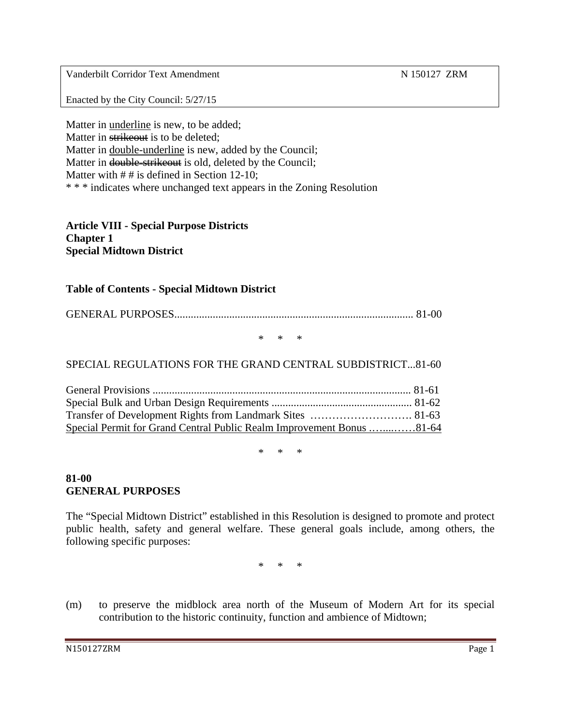Vanderbilt Corridor Text Amendment N 150127 ZRM

Enacted by the City Council: 5/27/15

Matter in underline is new, to be added; Matter in strike out is to be deleted: Matter in double-underline is new, added by the Council; Matter in double-strikeout is old, deleted by the Council; Matter with  $# #$  is defined in Section 12-10; \* \* \* indicates where unchanged text appears in the Zoning Resolution

**Article VIII - Special Purpose Districts Chapter 1 Special Midtown District** 

#### **Table of Contents - Special Midtown District**

GENERAL PURPOSES....................................................................................... 81-00

\* \* \*

#### SPECIAL REGULATIONS FOR THE GRAND CENTRAL SUBDISTRICT...81-60

| Special Permit for Grand Central Public Realm Improvement Bonus 81-64 |  |
|-----------------------------------------------------------------------|--|

 $*$  \*

#### **81-00 GENERAL PURPOSES**

The "Special Midtown District" established in this Resolution is designed to promote and protect public health, safety and general welfare. These general goals include, among others, the following specific purposes:

\* \* \*

(m) to preserve the midblock area north of the Museum of Modern Art for its special contribution to the historic continuity, function and ambience of Midtown;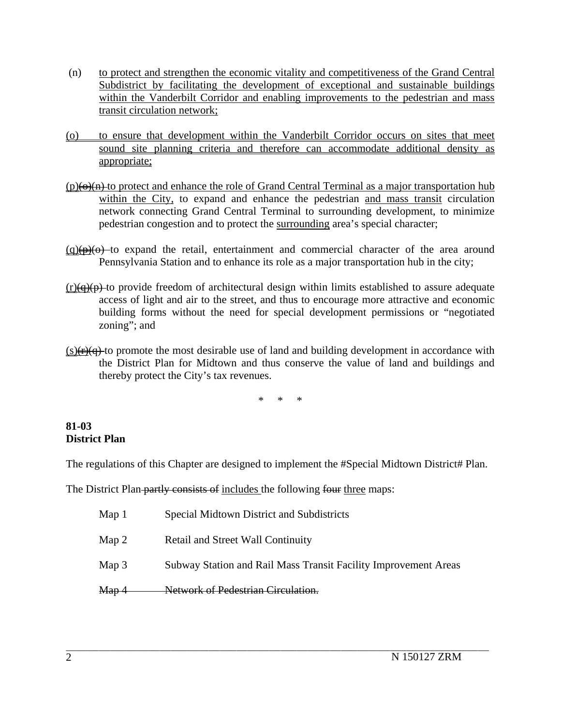- (n) to protect and strengthen the economic vitality and competitiveness of the Grand Central Subdistrict by facilitating the development of exceptional and sustainable buildings within the Vanderbilt Corridor and enabling improvements to the pedestrian and mass transit circulation network;
- (o) to ensure that development within the Vanderbilt Corridor occurs on sites that meet sound site planning criteria and therefore can accommodate additional density as appropriate;
- $(p)(\theta)(n)$  to protect and enhance the role of Grand Central Terminal as a major transportation hub within the City, to expand and enhance the pedestrian and mass transit circulation network connecting Grand Central Terminal to surrounding development, to minimize pedestrian congestion and to protect the surrounding area's special character;
- $(q)(p)(0)$  to expand the retail, entertainment and commercial character of the area around Pennsylvania Station and to enhance its role as a major transportation hub in the city;
- $(r)(q)(p)$  to provide freedom of architectural design within limits established to assure adequate access of light and air to the street, and thus to encourage more attractive and economic building forms without the need for special development permissions or "negotiated zoning"; and
- $(s)$ ( $\left(\frac{s}{r}\right)$  to promote the most desirable use of land and building development in accordance with the District Plan for Midtown and thus conserve the value of land and buildings and thereby protect the City's tax revenues.

\* \* \*

#### **81-03 District Plan**

The regulations of this Chapter are designed to implement the #Special Midtown District# Plan.

The District Plan partly consists of includes the following four three maps:

| Map <sub>1</sub> | Special Midtown District and Subdistricts                       |
|------------------|-----------------------------------------------------------------|
| Map 2            | <b>Retail and Street Wall Continuity</b>                        |
| Map 3            | Subway Station and Rail Mass Transit Facility Improvement Areas |
| Map 4            | Network of Pedestrian Circulation.                              |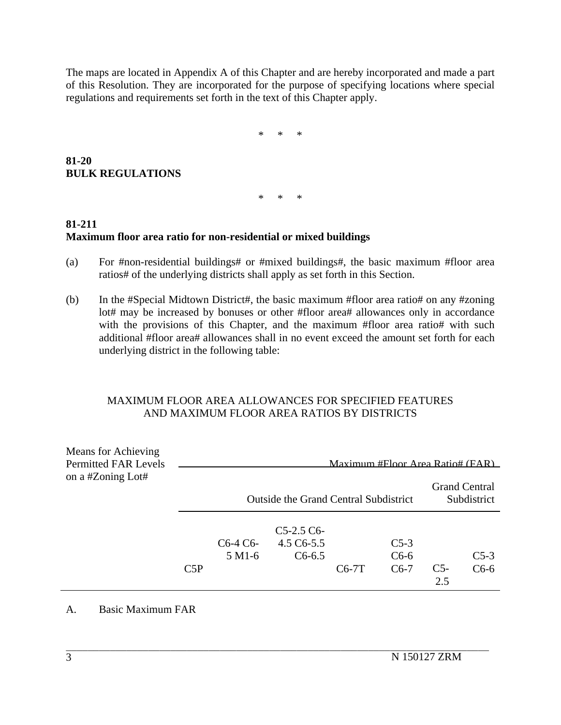The maps are located in Appendix A of this Chapter and are hereby incorporated and made a part of this Resolution. They are incorporated for the purpose of specifying locations where special regulations and requirements set forth in the text of this Chapter apply.

\* \* \*

**81-20 BULK REGULATIONS**

\* \* \*

# **81-211 Maximum floor area ratio for non-residential or mixed buildings**

- (a) For #non-residential buildings# or #mixed buildings#, the basic maximum #floor area ratios# of the underlying districts shall apply as set forth in this Section.
- (b) In the #Special Midtown District#, the basic maximum #floor area ratio# on any #zoning lot# may be increased by bonuses or other #floor area# allowances only in accordance with the provisions of this Chapter, and the maximum #floor area ratio# with such additional #floor area# allowances shall in no event exceed the amount set forth for each underlying district in the following table:

#### MAXIMUM FLOOR AREA ALLOWANCES FOR SPECIFIED FEATURES AND MAXIMUM FLOOR AREA RATIOS BY DISTRICTS

| Means for Achieving<br><b>Permitted FAR Levels</b> |                                                                      |                                                           |                                      | Maximum #Floor Area Ratio# (FAR) |                               |              |                  |
|----------------------------------------------------|----------------------------------------------------------------------|-----------------------------------------------------------|--------------------------------------|----------------------------------|-------------------------------|--------------|------------------|
| on a #Zoning Lot#                                  | <b>Grand Central</b><br><b>Outside the Grand Central Subdistrict</b> |                                                           |                                      |                                  |                               |              | Subdistrict      |
|                                                    | C5P                                                                  | C <sub>6</sub> -4 C <sub>6</sub> -<br>5 M <sub>1</sub> -6 | $C5-2.5C6$<br>4.5 C6-5.5<br>$C6-6.5$ | $C6-7T$                          | $C_{5-3}$<br>$C6-6$<br>$C6-7$ | $C5-$<br>2.5 | $C5-3$<br>$C6-6$ |

 $\mathcal{L}_\text{max}$ 

#### A. Basic Maximum FAR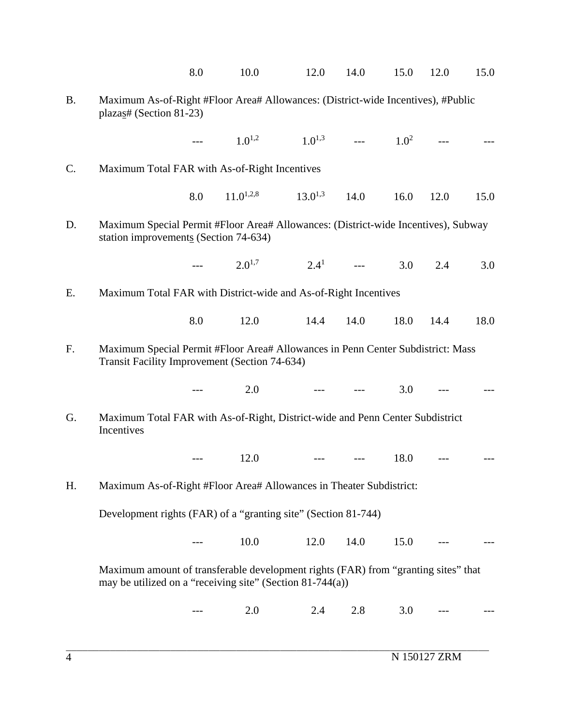|           |                                                                                                                                                 | 8.0 | 10.0           | 12.0         | 14.0           | 15.0    | 12.0 | 15.0 |
|-----------|-------------------------------------------------------------------------------------------------------------------------------------------------|-----|----------------|--------------|----------------|---------|------|------|
| <b>B.</b> | Maximum As-of-Right #Floor Area# Allowances: (District-wide Incentives), #Public<br>plazas# (Section 81-23)                                     |     |                |              |                |         |      |      |
|           |                                                                                                                                                 |     | $1.0^{1,2}$    | $1.0^{1,3}$  | $\overline{a}$ | $1.0^2$ |      |      |
| C.        | Maximum Total FAR with As-of-Right Incentives                                                                                                   |     |                |              |                |         |      |      |
|           |                                                                                                                                                 | 8.0 | $11.0^{1,2,8}$ | $13.0^{1,3}$ | 14.0           | 16.0    | 12.0 | 15.0 |
| D.        | Maximum Special Permit #Floor Area# Allowances: (District-wide Incentives), Subway<br>station improvements (Section 74-634)                     |     |                |              |                |         |      |      |
|           |                                                                                                                                                 |     | $2.0^{1,7}$    | $2.4^{1}$    |                | 3.0     | 2.4  | 3.0  |
| Ε.        | Maximum Total FAR with District-wide and As-of-Right Incentives                                                                                 |     |                |              |                |         |      |      |
|           |                                                                                                                                                 | 8.0 | 12.0           | 14.4         | 14.0           | 18.0    | 14.4 | 18.0 |
| F.        | Maximum Special Permit #Floor Area# Allowances in Penn Center Subdistrict: Mass<br>Transit Facility Improvement (Section 74-634)                |     |                |              |                |         |      |      |
|           |                                                                                                                                                 |     | 2.0            |              |                | 3.0     |      |      |
| G.        | Maximum Total FAR with As-of-Right, District-wide and Penn Center Subdistrict<br>Incentives                                                     |     |                |              |                |         |      |      |
|           |                                                                                                                                                 |     | 12.0           |              |                | 18.0    |      |      |
| H.        | Maximum As-of-Right #Floor Area# Allowances in Theater Subdistrict:                                                                             |     |                |              |                |         |      |      |
|           | Development rights (FAR) of a "granting site" (Section 81-744)                                                                                  |     |                |              |                |         |      |      |
|           |                                                                                                                                                 |     | 10.0           | 12.0         | 14.0           | 15.0    |      |      |
|           | Maximum amount of transferable development rights (FAR) from "granting sites" that<br>may be utilized on a "receiving site" (Section 81-744(a)) |     |                |              |                |         |      |      |
|           |                                                                                                                                                 |     | 2.0            | 2.4          | 2.8            | 3.0     |      |      |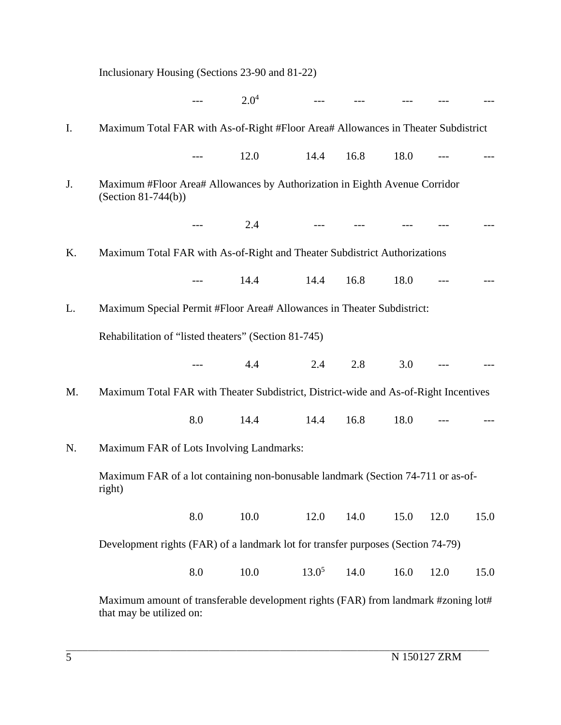|    | Inclusionary Housing (Sections 23-90 and 81-22)                                                                |     |           |                         |      |      |      |      |
|----|----------------------------------------------------------------------------------------------------------------|-----|-----------|-------------------------|------|------|------|------|
|    |                                                                                                                |     | $2.0^4$   | $---$                   |      |      |      |      |
| I. | Maximum Total FAR with As-of-Right #Floor Area# Allowances in Theater Subdistrict                              |     |           |                         |      |      |      |      |
|    |                                                                                                                |     | 12.0      | 14.4                    | 16.8 | 18.0 |      |      |
| J. | Maximum #Floor Area# Allowances by Authorization in Eighth Avenue Corridor<br>(Section $81-744(b)$ )           |     |           |                         |      |      |      |      |
|    |                                                                                                                |     | 2.4       | and the contract of the |      |      |      |      |
| Κ. | Maximum Total FAR with As-of-Right and Theater Subdistrict Authorizations                                      |     |           |                         |      |      |      |      |
|    |                                                                                                                |     | 14.4      | 14.4                    | 16.8 | 18.0 |      |      |
| L. | Maximum Special Permit #Floor Area# Allowances in Theater Subdistrict:                                         |     |           |                         |      |      |      |      |
|    | Rehabilitation of "listed theaters" (Section 81-745)                                                           |     |           |                         |      |      |      |      |
|    |                                                                                                                |     | 4.4       | 2.4                     | 2.8  | 3.0  |      |      |
| M. | Maximum Total FAR with Theater Subdistrict, District-wide and As-of-Right Incentives                           |     |           |                         |      |      |      |      |
|    |                                                                                                                | 8.0 | 14.4 14.4 |                         | 16.8 | 18.0 |      |      |
| N. | Maximum FAR of Lots Involving Landmarks:                                                                       |     |           |                         |      |      |      |      |
|    | Maximum FAR of a lot containing non-bonusable landmark (Section 74-711 or as-of-<br>right)                     |     |           |                         |      |      |      |      |
|    |                                                                                                                | 8.0 | 10.0      | 12.0                    | 14.0 | 15.0 | 12.0 | 15.0 |
|    | Development rights (FAR) of a landmark lot for transfer purposes (Section 74-79)                               |     |           |                         |      |      |      |      |
|    |                                                                                                                | 8.0 | 10.0      | $13.0^5$                | 14.0 | 16.0 | 12.0 | 15.0 |
|    | Maximum amount of transferable development rights (FAR) from landmark #zoning lot#<br>that may be utilized on: |     |           |                         |      |      |      |      |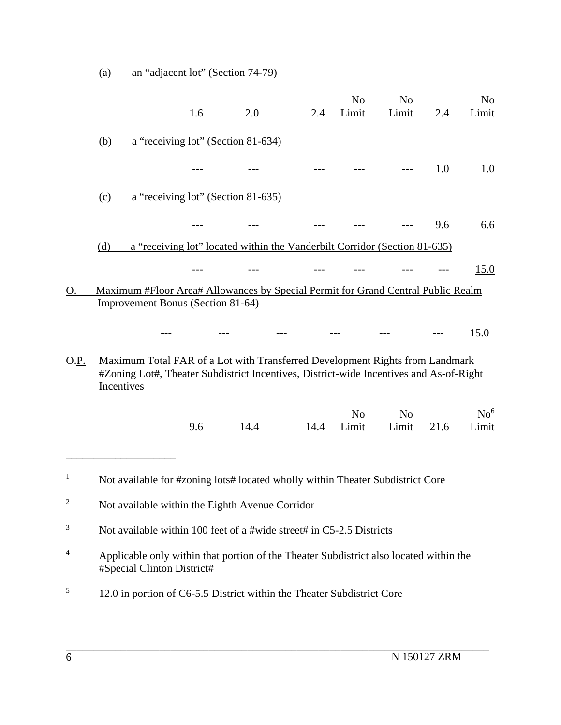|                  |            |                                          | 1.6                                | 2.0                                                                                                                                                                    | 2.4  | N <sub>o</sub><br>Limit | N <sub>o</sub><br>Limit | 2.4  | N <sub>o</sub><br>Limit  |
|------------------|------------|------------------------------------------|------------------------------------|------------------------------------------------------------------------------------------------------------------------------------------------------------------------|------|-------------------------|-------------------------|------|--------------------------|
|                  | (b)        |                                          | a "receiving lot" (Section 81-634) |                                                                                                                                                                        |      |                         |                         |      |                          |
|                  |            |                                          |                                    |                                                                                                                                                                        |      |                         |                         | 1.0  | 1.0                      |
|                  | (c)        |                                          | a "receiving lot" (Section 81-635) |                                                                                                                                                                        |      |                         |                         |      |                          |
|                  |            |                                          |                                    |                                                                                                                                                                        |      |                         |                         | 9.6  | 6.6                      |
|                  | (d)        |                                          |                                    | a "receiving lot" located within the Vanderbilt Corridor (Section 81-635)                                                                                              |      |                         |                         |      |                          |
|                  |            |                                          |                                    |                                                                                                                                                                        |      |                         |                         |      | 15.0                     |
| О.               |            | <b>Improvement Bonus (Section 81-64)</b> |                                    | Maximum #Floor Area# Allowances by Special Permit for Grand Central Public Realm                                                                                       |      |                         |                         |      |                          |
|                  |            |                                          |                                    |                                                                                                                                                                        |      |                         |                         |      | 15.0                     |
| <del>O.</del> P. | Incentives |                                          |                                    | Maximum Total FAR of a Lot with Transferred Development Rights from Landmark<br>#Zoning Lot#, Theater Subdistrict Incentives, District-wide Incentives and As-of-Right |      |                         |                         |      |                          |
|                  |            |                                          | 9.6                                | 14.4                                                                                                                                                                   | 14.4 | N <sub>o</sub><br>Limit | N <sub>o</sub><br>Limit | 21.6 | No <sup>6</sup><br>Limit |
| $\mathbf{1}$     |            |                                          |                                    | Not available for #zoning lots# located wholly within Theater Subdistrict Core                                                                                         |      |                         |                         |      |                          |
| 2                |            |                                          |                                    | Not available within the Eighth Avenue Corridor                                                                                                                        |      |                         |                         |      |                          |
|                  |            |                                          |                                    |                                                                                                                                                                        |      |                         |                         |      |                          |

3 Not available within 100 feet of a #wide street# in C5-2.5 Districts

(a) an "adjacent lot" (Section 74-79)

- 4 Applicable only within that portion of the Theater Subdistrict also located within the #Special Clinton District#
- 5 12.0 in portion of C6-5.5 District within the Theater Subdistrict Core

1

2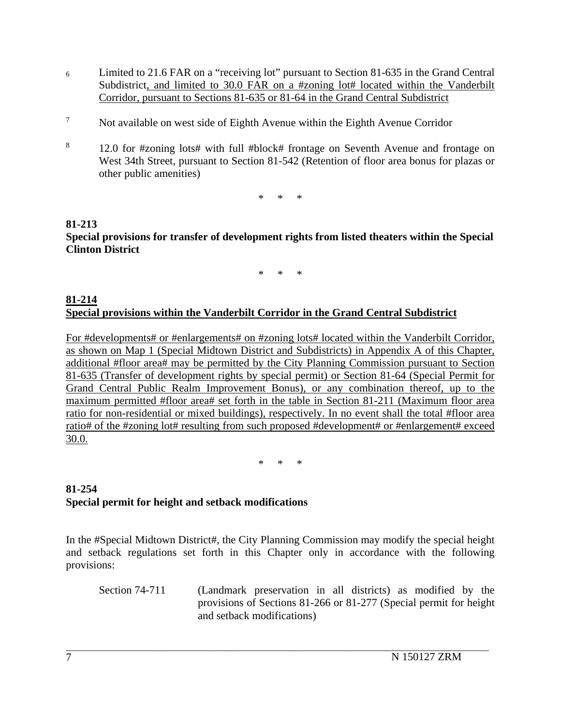- 6 Limited to 21.6 FAR on a "receiving lot" pursuant to Section 81-635 in the Grand Central Subdistrict, and limited to 30.0 FAR on a #zoning lot# located within the Vanderbilt Corridor, pursuant to Sections 81-635 or 81-64 in the Grand Central Subdistrict
- 7 Not available on west side of Eighth Avenue within the Eighth Avenue Corridor
- 8 12.0 for #zoning lots# with full #block# frontage on Seventh Avenue and frontage on West 34th Street, pursuant to Section 81-542 (Retention of floor area bonus for plazas or other public amenities)

\* \* \*

# **81-213 Special provisions for transfer of development rights from listed theaters within the Special Clinton District**

\* \* \*

#### **81-214 Special provisions within the Vanderbilt Corridor in the Grand Central Subdistrict**

For #developments# or #enlargements# on #zoning lots# located within the Vanderbilt Corridor, as shown on Map 1 (Special Midtown District and Subdistricts) in Appendix A of this Chapter, additional #floor area# may be permitted by the City Planning Commission pursuant to Section 81-635 (Transfer of development rights by special permit) or Section 81-64 (Special Permit for Grand Central Public Realm Improvement Bonus), or any combination thereof, up to the maximum permitted #floor area# set forth in the table in Section 81-211 (Maximum floor area ratio for non-residential or mixed buildings), respectively. In no event shall the total #floor area ratio# of the #zoning lot# resulting from such proposed #development# or #enlargement# exceed 30.0.

\* \* \*

## **81-254 Special permit for height and setback modifications**

In the #Special Midtown District#, the City Planning Commission may modify the special height and setback regulations set forth in this Chapter only in accordance with the following provisions:

 $\mathcal{L}_\text{max}$ 

Section 74-711 (Landmark preservation in all districts) as modified by the provisions of Sections 81-266 or 81-277 (Special permit for height and setback modifications)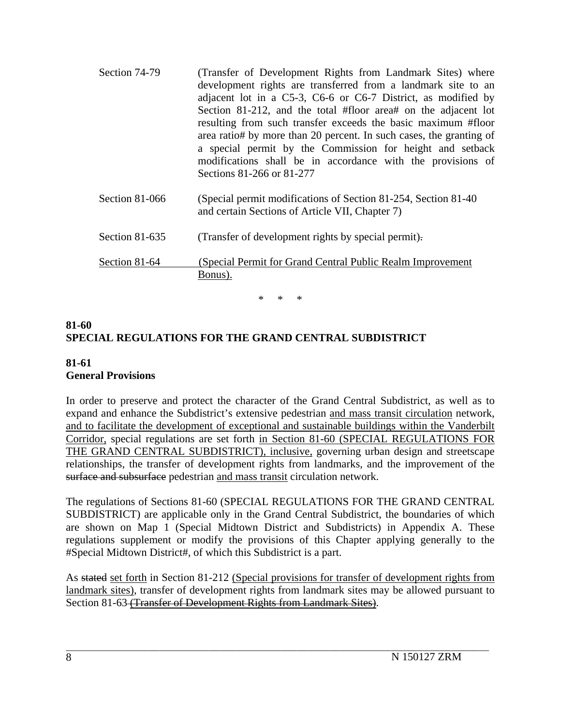| Section 74-79    | (Transfer of Development Rights from Landmark Sites) where<br>development rights are transferred from a landmark site to an<br>adjacent lot in a C5-3, C6-6 or C6-7 District, as modified by<br>Section 81-212, and the total #floor area# on the adjacent lot<br>resulting from such transfer exceeds the basic maximum #floor<br>area ratio# by more than 20 percent. In such cases, the granting of<br>a special permit by the Commission for height and setback<br>modifications shall be in accordance with the provisions of<br>Sections 81-266 or 81-277 |
|------------------|-----------------------------------------------------------------------------------------------------------------------------------------------------------------------------------------------------------------------------------------------------------------------------------------------------------------------------------------------------------------------------------------------------------------------------------------------------------------------------------------------------------------------------------------------------------------|
| Section 81-066   | (Special permit modifications of Section 81-254, Section 81-40)<br>and certain Sections of Article VII, Chapter 7)                                                                                                                                                                                                                                                                                                                                                                                                                                              |
| Section $81-635$ | (Transfer of development rights by special permit).                                                                                                                                                                                                                                                                                                                                                                                                                                                                                                             |
| Section 81-64    | (Special Permit for Grand Central Public Realm Improvement)<br>Bonus).                                                                                                                                                                                                                                                                                                                                                                                                                                                                                          |

\* \* \*

# **81-60 SPECIAL REGULATIONS FOR THE GRAND CENTRAL SUBDISTRICT**

## **81-61 General Provisions**

In order to preserve and protect the character of the Grand Central Subdistrict, as well as to expand and enhance the Subdistrict's extensive pedestrian and mass transit circulation network, and to facilitate the development of exceptional and sustainable buildings within the Vanderbilt Corridor, special regulations are set forth in Section 81-60 (SPECIAL REGULATIONS FOR THE GRAND CENTRAL SUBDISTRICT), inclusive, governing urban design and streetscape relationships, the transfer of development rights from landmarks, and the improvement of the surface and subsurface pedestrian and mass transit circulation network.

The regulations of Sections 81-60 (SPECIAL REGULATIONS FOR THE GRAND CENTRAL SUBDISTRICT) are applicable only in the Grand Central Subdistrict, the boundaries of which are shown on Map 1 (Special Midtown District and Subdistricts) in Appendix A. These regulations supplement or modify the provisions of this Chapter applying generally to the #Special Midtown District#, of which this Subdistrict is a part.

As stated set forth in Section 81-212 (Special provisions for transfer of development rights from landmark sites), transfer of development rights from landmark sites may be allowed pursuant to Section 81-63 (Transfer of Development Rights from Landmark Sites).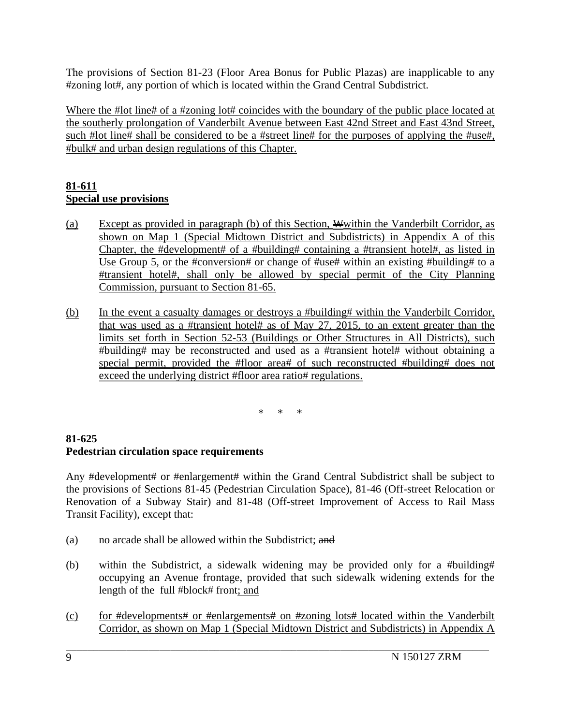The provisions of Section 81-23 (Floor Area Bonus for Public Plazas) are inapplicable to any #zoning lot#, any portion of which is located within the Grand Central Subdistrict.

Where the #lot line# of a #zoning lot# coincides with the boundary of the public place located at the southerly prolongation of Vanderbilt Avenue between East 42nd Street and East 43nd Street, such #lot line# shall be considered to be a #street line# for the purposes of applying the #use#, #bulk# and urban design regulations of this Chapter.

## **81-611 Special use provisions**

- (a) Except as provided in paragraph (b) of this Section,  $\frac{W}{W}$  within the Vanderbilt Corridor, as shown on Map 1 (Special Midtown District and Subdistricts) in Appendix A of this Chapter, the #development# of a #building# containing a #transient hotel#, as listed in Use Group 5, or the #conversion# or change of #use# within an existing #building# to a #transient hotel#, shall only be allowed by special permit of the City Planning Commission, pursuant to Section 81-65.
- (b) In the event a casualty damages or destroys a #building# within the Vanderbilt Corridor, that was used as a #transient hotel# as of May 27, 2015, to an extent greater than the limits set forth in Section 52-53 (Buildings or Other Structures in All Districts), such #building# may be reconstructed and used as a #transient hotel# without obtaining a special permit, provided the #floor area# of such reconstructed #building# does not exceed the underlying district #floor area ratio# regulations.

\* \* \*

# **81-625 Pedestrian circulation space requirements**

Any #development# or #enlargement# within the Grand Central Subdistrict shall be subject to the provisions of Sections 81-45 (Pedestrian Circulation Space), 81-46 (Off-street Relocation or Renovation of a Subway Stair) and 81-48 (Off-street Improvement of Access to Rail Mass Transit Facility), except that:

- (a) no arcade shall be allowed within the Subdistrict; and
- (b) within the Subdistrict, a sidewalk widening may be provided only for a #building# occupying an Avenue frontage, provided that such sidewalk widening extends for the length of the full #block# front; and
- (c) for #developments# or #enlargements# on #zoning lots# located within the Vanderbilt Corridor, as shown on Map 1 (Special Midtown District and Subdistricts) in Appendix A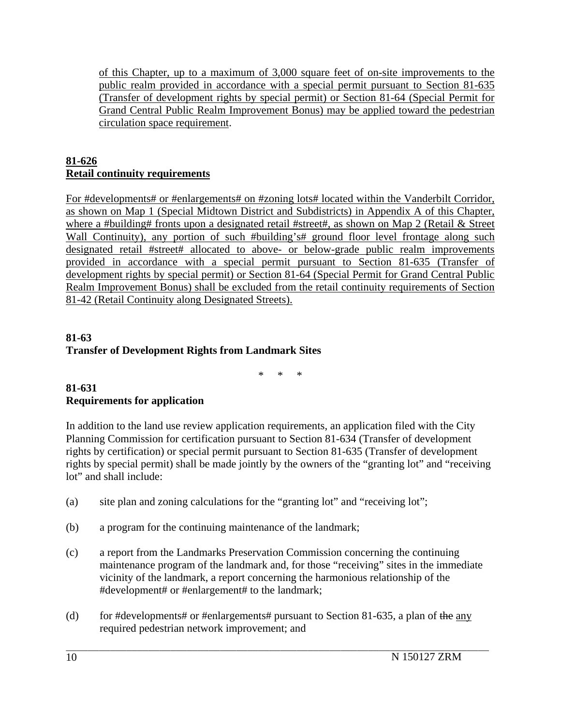of this Chapter, up to a maximum of 3,000 square feet of on-site improvements to the public realm provided in accordance with a special permit pursuant to Section 81-635 (Transfer of development rights by special permit) or Section 81-64 (Special Permit for Grand Central Public Realm Improvement Bonus) may be applied toward the pedestrian circulation space requirement.

## **81-626 Retail continuity requirements**

For #developments# or #enlargements# on #zoning lots# located within the Vanderbilt Corridor, as shown on Map 1 (Special Midtown District and Subdistricts) in Appendix A of this Chapter, where a #building# fronts upon a designated retail #street#, as shown on Map 2 (Retail & Street Wall Continuity), any portion of such #building's# ground floor level frontage along such designated retail #street# allocated to above- or below-grade public realm improvements provided in accordance with a special permit pursuant to Section 81-635 (Transfer of development rights by special permit) or Section 81-64 (Special Permit for Grand Central Public Realm Improvement Bonus) shall be excluded from the retail continuity requirements of Section 81-42 (Retail Continuity along Designated Streets).

## **81-63 Transfer of Development Rights from Landmark Sites**

\* \* \*

## **81-631 Requirements for application**

In addition to the land use review application requirements, an application filed with the City Planning Commission for certification pursuant to Section 81-634 (Transfer of development rights by certification) or special permit pursuant to Section 81-635 (Transfer of development rights by special permit) shall be made jointly by the owners of the "granting lot" and "receiving lot" and shall include:

- (a) site plan and zoning calculations for the "granting lot" and "receiving lot";
- (b) a program for the continuing maintenance of the landmark;
- (c) a report from the Landmarks Preservation Commission concerning the continuing maintenance program of the landmark and, for those "receiving" sites in the immediate vicinity of the landmark, a report concerning the harmonious relationship of the #development# or #enlargement# to the landmark;
- (d) for #developments# or #enlargements# pursuant to Section 81-635, a plan of  $\theta$ the any required pedestrian network improvement; and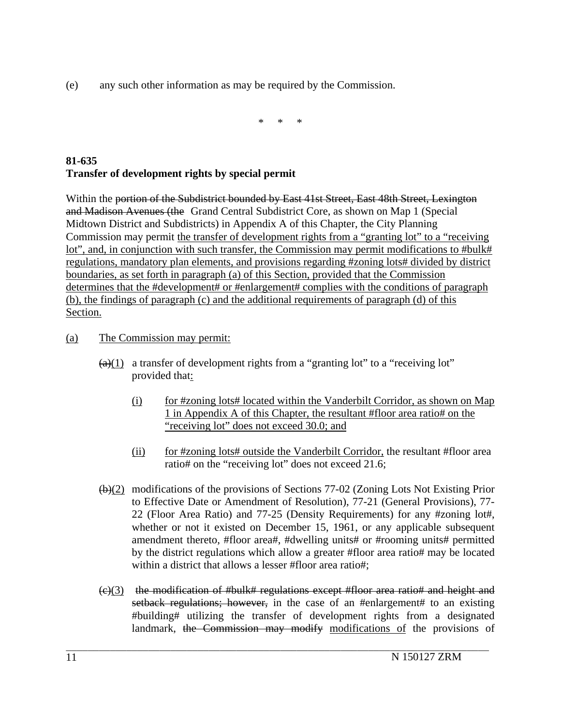(e) any such other information as may be required by the Commission.

\* \* \*

# **81-635 Transfer of development rights by special permit**

Within the portion of the Subdistrict bounded by East 41st Street, East 48th Street, Lexington and Madison Avenues (the Grand Central Subdistrict Core, as shown on Map 1 (Special Midtown District and Subdistricts) in Appendix A of this Chapter, the City Planning Commission may permit the transfer of development rights from a "granting lot" to a "receiving lot", and, in conjunction with such transfer, the Commission may permit modifications to #bulk# regulations, mandatory plan elements, and provisions regarding #zoning lots# divided by district boundaries, as set forth in paragraph (a) of this Section, provided that the Commission determines that the #development# or #enlargement# complies with the conditions of paragraph (b), the findings of paragraph (c) and the additional requirements of paragraph (d) of this Section.

- (a) The Commission may permit:
	- $(a)(1)$  a transfer of development rights from a "granting lot" to a "receiving lot" provided that:
		- (i) for #zoning lots# located within the Vanderbilt Corridor, as shown on Map 1 in Appendix A of this Chapter, the resultant #floor area ratio# on the "receiving lot" does not exceed 30.0; and
		- (ii) for #zoning lots# outside the Vanderbilt Corridor, the resultant #floor area ratio# on the "receiving lot" does not exceed 21.6;
	- (b)(2) modifications of the provisions of Sections 77-02 (Zoning Lots Not Existing Prior to Effective Date or Amendment of Resolution), 77-21 (General Provisions), 77- 22 (Floor Area Ratio) and 77-25 (Density Requirements) for any #zoning lot#, whether or not it existed on December 15, 1961, or any applicable subsequent amendment thereto, #floor area#, #dwelling units# or #rooming units# permitted by the district regulations which allow a greater #floor area ratio# may be located within a district that allows a lesser #floor area ratio#:
	- $(e)(3)$  the modification of #bulk# regulations except #floor area ratio# and height and setback regulations; however, in the case of an #enlargement# to an existing #building# utilizing the transfer of development rights from a designated landmark, the Commission may modify modifications of the provisions of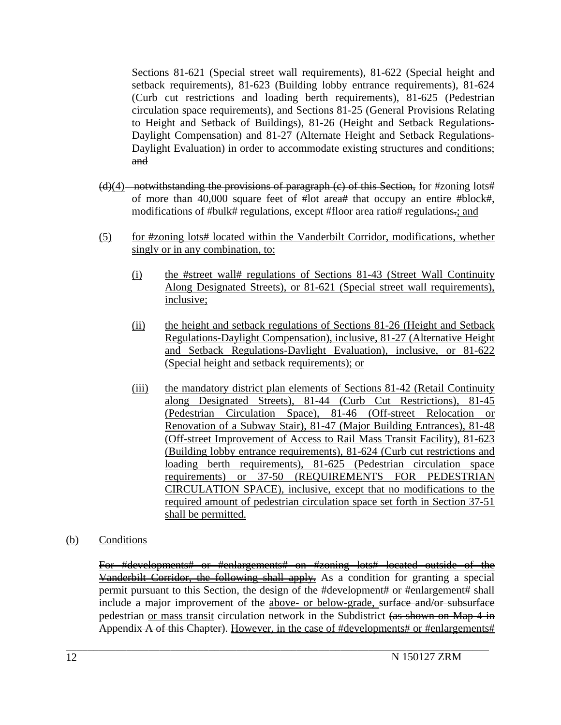Sections 81-621 (Special street wall requirements), 81-622 (Special height and setback requirements), 81-623 (Building lobby entrance requirements), 81-624 (Curb cut restrictions and loading berth requirements), 81-625 (Pedestrian circulation space requirements), and Sections 81-25 (General Provisions Relating to Height and Setback of Buildings), 81-26 (Height and Setback Regulations-Daylight Compensation) and 81-27 (Alternate Height and Setback Regulations-Daylight Evaluation) in order to accommodate existing structures and conditions; and

- $(d)(4)$  notwithstanding the provisions of paragraph (c) of this Section, for #zoning lots# of more than 40,000 square feet of #lot area# that occupy an entire #block#, modifications of #bulk# regulations, except #floor area ratio# regulations.; and
- (5) for #zoning lots# located within the Vanderbilt Corridor, modifications, whether singly or in any combination, to:
	- (i) the #street wall# regulations of Sections 81-43 (Street Wall Continuity Along Designated Streets), or 81-621 (Special street wall requirements), inclusive;
	- (ii) the height and setback regulations of Sections 81-26 (Height and Setback Regulations-Daylight Compensation), inclusive, 81-27 (Alternative Height and Setback Regulations-Daylight Evaluation), inclusive, or 81-622 (Special height and setback requirements); or
	- (iii) the mandatory district plan elements of Sections 81-42 (Retail Continuity along Designated Streets), 81-44 (Curb Cut Restrictions), 81-45 (Pedestrian Circulation Space), 81-46 (Off-street Relocation or Renovation of a Subway Stair), 81-47 (Major Building Entrances), 81-48 (Off-street Improvement of Access to Rail Mass Transit Facility), 81-623 (Building lobby entrance requirements), 81-624 (Curb cut restrictions and loading berth requirements), 81-625 (Pedestrian circulation space requirements) or 37-50 (REQUIREMENTS FOR PEDESTRIAN CIRCULATION SPACE), inclusive, except that no modifications to the required amount of pedestrian circulation space set forth in Section 37-51 shall be permitted.
- (b) Conditions

For #developments# or #enlargements# on #zoning lots# located outside of the Vanderbilt Corridor, the following shall apply. As a condition for granting a special permit pursuant to this Section, the design of the #development# or #enlargement# shall include a major improvement of the above- or below-grade, surface and/or subsurface pedestrian or mass transit circulation network in the Subdistrict (as shown on Map 4 in Appendix A of this Chapter). However, in the case of #developments# or #enlargements#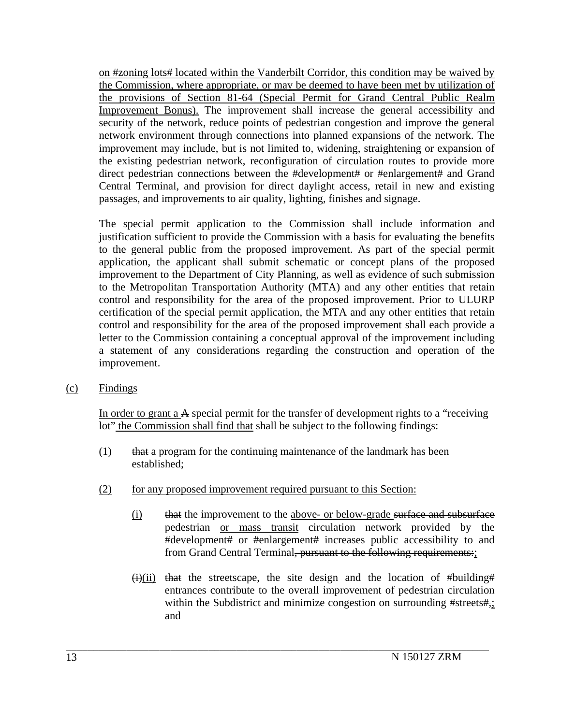on #zoning lots# located within the Vanderbilt Corridor, this condition may be waived by the Commission, where appropriate, or may be deemed to have been met by utilization of the provisions of Section 81-64 (Special Permit for Grand Central Public Realm Improvement Bonus). The improvement shall increase the general accessibility and security of the network, reduce points of pedestrian congestion and improve the general network environment through connections into planned expansions of the network. The improvement may include, but is not limited to, widening, straightening or expansion of the existing pedestrian network, reconfiguration of circulation routes to provide more direct pedestrian connections between the #development# or #enlargement# and Grand Central Terminal, and provision for direct daylight access, retail in new and existing passages, and improvements to air quality, lighting, finishes and signage.

The special permit application to the Commission shall include information and justification sufficient to provide the Commission with a basis for evaluating the benefits to the general public from the proposed improvement. As part of the special permit application, the applicant shall submit schematic or concept plans of the proposed improvement to the Department of City Planning, as well as evidence of such submission to the Metropolitan Transportation Authority (MTA) and any other entities that retain control and responsibility for the area of the proposed improvement. Prior to ULURP certification of the special permit application, the MTA and any other entities that retain control and responsibility for the area of the proposed improvement shall each provide a letter to the Commission containing a conceptual approval of the improvement including a statement of any considerations regarding the construction and operation of the improvement.

(c) Findings

In order to grant a A special permit for the transfer of development rights to a "receiving lot" the Commission shall find that shall be subject to the following findings:

 $(1)$  that a program for the continuing maintenance of the landmark has been established;

- (2) for any proposed improvement required pursuant to this Section:
	- (i) that the improvement to the above- or below-grade surface and subsurface pedestrian or mass transit circulation network provided by the #development# or #enlargement# increases public accessibility to and from Grand Central Terminal, pursuant to the following requirements:
	- $\overrightarrow{(i)}$ (ii) that the streetscape, the site design and the location of #building# entrances contribute to the overall improvement of pedestrian circulation within the Subdistrict and minimize congestion on surrounding #streets#,; and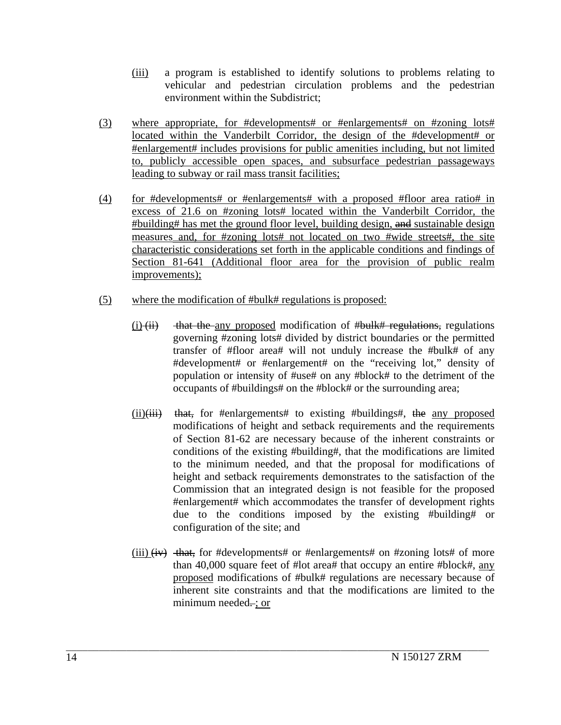- (iii) a program is established to identify solutions to problems relating to vehicular and pedestrian circulation problems and the pedestrian environment within the Subdistrict;
- (3) where appropriate, for #developments# or #enlargements# on #zoning lots# located within the Vanderbilt Corridor, the design of the #development# or #enlargement# includes provisions for public amenities including, but not limited to, publicly accessible open spaces, and subsurface pedestrian passageways leading to subway or rail mass transit facilities;
- (4) for #developments# or #enlargements# with a proposed #floor area ratio# in excess of 21.6 on #zoning lots# located within the Vanderbilt Corridor, the #building# has met the ground floor level, building design, and sustainable design measures and, for #zoning lots# not located on two #wide streets#, the site characteristic considerations set forth in the applicable conditions and findings of Section 81-641 (Additional floor area for the provision of public realm improvements);
- (5) where the modification of #bulk# regulations is proposed:
	- $(i)$  that the any proposed modification of #bulk# regulations, regulations governing #zoning lots# divided by district boundaries or the permitted transfer of #floor area# will not unduly increase the #bulk# of any #development# or #enlargement# on the "receiving lot," density of population or intensity of #use# on any #block# to the detriment of the occupants of #buildings# on the #block# or the surrounding area;
	- $(ii)(iii)$  that, for #enlargements# to existing #buildings#, the any proposed modifications of height and setback requirements and the requirements of Section 81-62 are necessary because of the inherent constraints or conditions of the existing #building#, that the modifications are limited to the minimum needed, and that the proposal for modifications of height and setback requirements demonstrates to the satisfaction of the Commission that an integrated design is not feasible for the proposed #enlargement# which accommodates the transfer of development rights due to the conditions imposed by the existing #building# or configuration of the site; and
	- (iii)  $\overrightarrow{(iv)}$  that, for #developments# or #enlargements# on #zoning lots# of more than 40,000 square feet of #lot area# that occupy an entire #block#, any proposed modifications of #bulk# regulations are necessary because of inherent site constraints and that the modifications are limited to the minimum needed...; or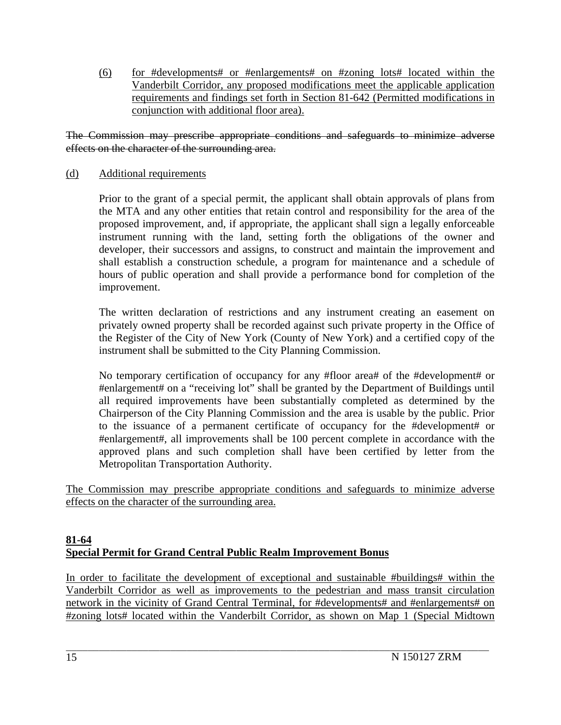(6) for #developments# or #enlargements# on #zoning lots# located within the Vanderbilt Corridor, any proposed modifications meet the applicable application requirements and findings set forth in Section 81-642 (Permitted modifications in conjunction with additional floor area).

The Commission may prescribe appropriate conditions and safeguards to minimize adverse effects on the character of the surrounding area.

### (d) Additional requirements

Prior to the grant of a special permit, the applicant shall obtain approvals of plans from the MTA and any other entities that retain control and responsibility for the area of the proposed improvement, and, if appropriate, the applicant shall sign a legally enforceable instrument running with the land, setting forth the obligations of the owner and developer, their successors and assigns, to construct and maintain the improvement and shall establish a construction schedule, a program for maintenance and a schedule of hours of public operation and shall provide a performance bond for completion of the improvement.

The written declaration of restrictions and any instrument creating an easement on privately owned property shall be recorded against such private property in the Office of the Register of the City of New York (County of New York) and a certified copy of the instrument shall be submitted to the City Planning Commission.

No temporary certification of occupancy for any #floor area# of the #development# or #enlargement# on a "receiving lot" shall be granted by the Department of Buildings until all required improvements have been substantially completed as determined by the Chairperson of the City Planning Commission and the area is usable by the public. Prior to the issuance of a permanent certificate of occupancy for the #development# or #enlargement#, all improvements shall be 100 percent complete in accordance with the approved plans and such completion shall have been certified by letter from the Metropolitan Transportation Authority.

The Commission may prescribe appropriate conditions and safeguards to minimize adverse effects on the character of the surrounding area.

### **81-64 Special Permit for Grand Central Public Realm Improvement Bonus**

In order to facilitate the development of exceptional and sustainable #buildings# within the Vanderbilt Corridor as well as improvements to the pedestrian and mass transit circulation network in the vicinity of Grand Central Terminal, for #developments# and #enlargements# on #zoning lots# located within the Vanderbilt Corridor, as shown on Map 1 (Special Midtown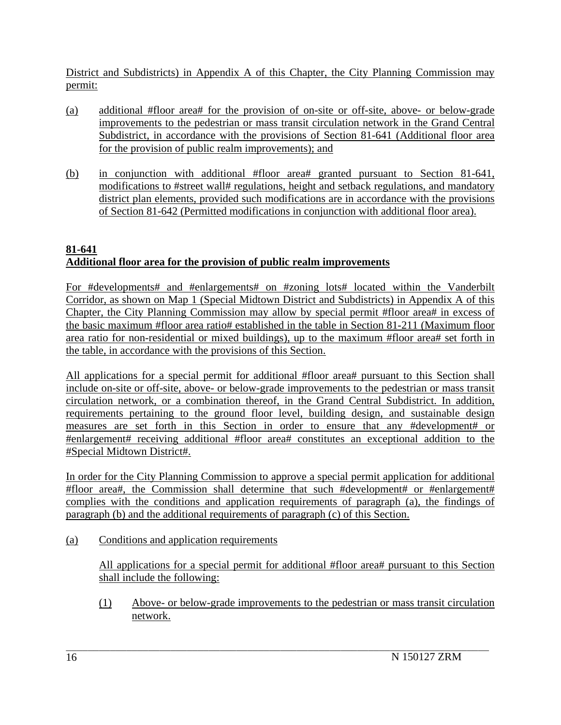District and Subdistricts) in Appendix A of this Chapter, the City Planning Commission may permit:

- (a) additional #floor area# for the provision of on-site or off-site, above- or below-grade improvements to the pedestrian or mass transit circulation network in the Grand Central Subdistrict, in accordance with the provisions of Section 81-641 (Additional floor area for the provision of public realm improvements); and
- (b) in conjunction with additional #floor area# granted pursuant to Section 81-641, modifications to #street wall# regulations, height and setback regulations, and mandatory district plan elements, provided such modifications are in accordance with the provisions of Section 81-642 (Permitted modifications in conjunction with additional floor area).

# **81-641 Additional floor area for the provision of public realm improvements**

For #developments# and #enlargements# on #zoning lots# located within the Vanderbilt Corridor, as shown on Map 1 (Special Midtown District and Subdistricts) in Appendix A of this Chapter, the City Planning Commission may allow by special permit #floor area# in excess of the basic maximum #floor area ratio# established in the table in Section 81-211 (Maximum floor area ratio for non-residential or mixed buildings), up to the maximum #floor area# set forth in the table, in accordance with the provisions of this Section.

All applications for a special permit for additional #floor area# pursuant to this Section shall include on-site or off-site, above- or below-grade improvements to the pedestrian or mass transit circulation network, or a combination thereof, in the Grand Central Subdistrict. In addition, requirements pertaining to the ground floor level, building design, and sustainable design measures are set forth in this Section in order to ensure that any #development# or #enlargement# receiving additional #floor area# constitutes an exceptional addition to the #Special Midtown District#.

In order for the City Planning Commission to approve a special permit application for additional #floor area#, the Commission shall determine that such #development# or #enlargement# complies with the conditions and application requirements of paragraph (a), the findings of paragraph (b) and the additional requirements of paragraph (c) of this Section.

(a) Conditions and application requirements

All applications for a special permit for additional #floor area# pursuant to this Section shall include the following:

(1) Above- or below-grade improvements to the pedestrian or mass transit circulation network.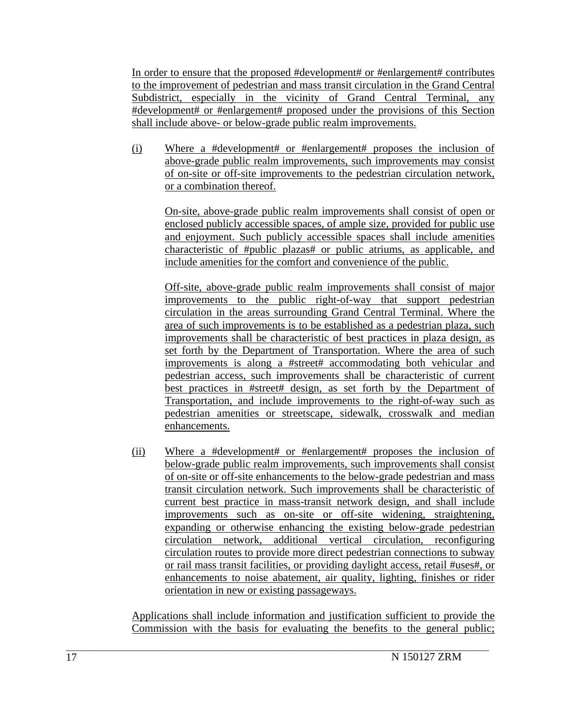In order to ensure that the proposed #development# or #enlargement# contributes to the improvement of pedestrian and mass transit circulation in the Grand Central Subdistrict, especially in the vicinity of Grand Central Terminal, any #development# or #enlargement# proposed under the provisions of this Section shall include above- or below-grade public realm improvements.

(i) Where a #development# or #enlargement# proposes the inclusion of above-grade public realm improvements, such improvements may consist of on-site or off-site improvements to the pedestrian circulation network, or a combination thereof.

On-site, above-grade public realm improvements shall consist of open or enclosed publicly accessible spaces, of ample size, provided for public use and enjoyment. Such publicly accessible spaces shall include amenities characteristic of #public plazas# or public atriums, as applicable, and include amenities for the comfort and convenience of the public.

Off-site, above-grade public realm improvements shall consist of major improvements to the public right-of-way that support pedestrian circulation in the areas surrounding Grand Central Terminal. Where the area of such improvements is to be established as a pedestrian plaza, such improvements shall be characteristic of best practices in plaza design, as set forth by the Department of Transportation. Where the area of such improvements is along a #street# accommodating both vehicular and pedestrian access, such improvements shall be characteristic of current best practices in #street# design, as set forth by the Department of Transportation, and include improvements to the right-of-way such as pedestrian amenities or streetscape, sidewalk, crosswalk and median enhancements.

(ii) Where a #development# or #enlargement# proposes the inclusion of below-grade public realm improvements, such improvements shall consist of on-site or off-site enhancements to the below-grade pedestrian and mass transit circulation network. Such improvements shall be characteristic of current best practice in mass-transit network design, and shall include improvements such as on-site or off-site widening, straightening, expanding or otherwise enhancing the existing below-grade pedestrian circulation network, additional vertical circulation, reconfiguring circulation routes to provide more direct pedestrian connections to subway or rail mass transit facilities, or providing daylight access, retail #uses#, or enhancements to noise abatement, air quality, lighting, finishes or rider orientation in new or existing passageways.

Applications shall include information and justification sufficient to provide the Commission with the basis for evaluating the benefits to the general public;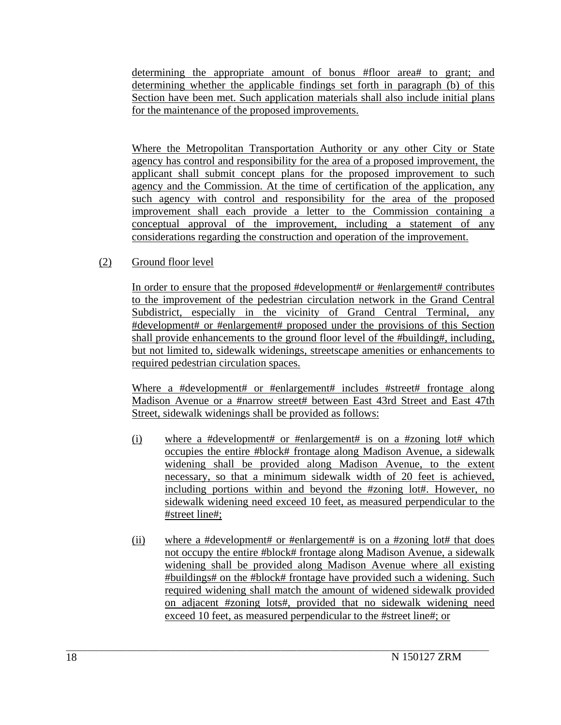determining the appropriate amount of bonus #floor area# to grant; and determining whether the applicable findings set forth in paragraph (b) of this Section have been met. Such application materials shall also include initial plans for the maintenance of the proposed improvements.

Where the Metropolitan Transportation Authority or any other City or State agency has control and responsibility for the area of a proposed improvement, the applicant shall submit concept plans for the proposed improvement to such agency and the Commission. At the time of certification of the application, any such agency with control and responsibility for the area of the proposed improvement shall each provide a letter to the Commission containing a conceptual approval of the improvement, including a statement of any considerations regarding the construction and operation of the improvement.

(2) Ground floor level

In order to ensure that the proposed #development# or #enlargement# contributes to the improvement of the pedestrian circulation network in the Grand Central Subdistrict, especially in the vicinity of Grand Central Terminal, any #development# or #enlargement# proposed under the provisions of this Section shall provide enhancements to the ground floor level of the #building#, including, but not limited to, sidewalk widenings, streetscape amenities or enhancements to required pedestrian circulation spaces.

Where a #development# or #enlargement# includes #street# frontage along Madison Avenue or a #narrow street# between East 43rd Street and East 47th Street, sidewalk widenings shall be provided as follows:

- (i) where a #development# or #enlargement# is on a #zoning lot# which occupies the entire #block# frontage along Madison Avenue, a sidewalk widening shall be provided along Madison Avenue, to the extent necessary, so that a minimum sidewalk width of 20 feet is achieved, including portions within and beyond the #zoning lot#. However, no sidewalk widening need exceed 10 feet, as measured perpendicular to the #street line#;
- (ii) where a #development# or #enlargement# is on a #zoning lot# that does not occupy the entire #block# frontage along Madison Avenue, a sidewalk widening shall be provided along Madison Avenue where all existing #buildings# on the #block# frontage have provided such a widening. Such required widening shall match the amount of widened sidewalk provided on adjacent #zoning lots#, provided that no sidewalk widening need exceed 10 feet, as measured perpendicular to the #street line#; or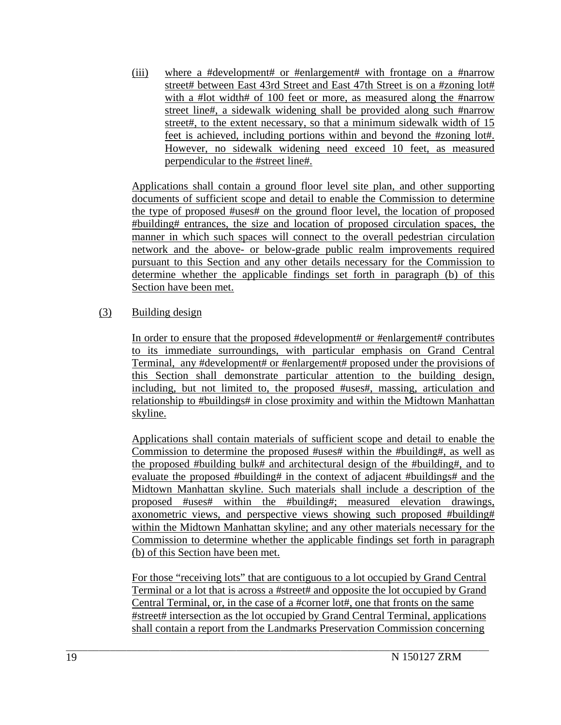(iii) where a #development# or #enlargement# with frontage on a #narrow street# between East 43rd Street and East 47th Street is on a #zoning lot# with a #lot width# of 100 feet or more, as measured along the #narrow street line#, a sidewalk widening shall be provided along such #narrow street#, to the extent necessary, so that a minimum sidewalk width of 15 feet is achieved, including portions within and beyond the #zoning lot#. However, no sidewalk widening need exceed 10 feet, as measured perpendicular to the #street line#.

Applications shall contain a ground floor level site plan, and other supporting documents of sufficient scope and detail to enable the Commission to determine the type of proposed #uses# on the ground floor level, the location of proposed #building# entrances, the size and location of proposed circulation spaces, the manner in which such spaces will connect to the overall pedestrian circulation network and the above- or below-grade public realm improvements required pursuant to this Section and any other details necessary for the Commission to determine whether the applicable findings set forth in paragraph (b) of this Section have been met.

### (3) Building design

In order to ensure that the proposed #development# or #enlargement# contributes to its immediate surroundings, with particular emphasis on Grand Central Terminal, any #development# or #enlargement# proposed under the provisions of this Section shall demonstrate particular attention to the building design, including, but not limited to, the proposed #uses#, massing, articulation and relationship to #buildings# in close proximity and within the Midtown Manhattan skyline.

Applications shall contain materials of sufficient scope and detail to enable the Commission to determine the proposed #uses# within the #building#, as well as the proposed #building bulk# and architectural design of the #building#, and to evaluate the proposed #building# in the context of adjacent #buildings# and the Midtown Manhattan skyline. Such materials shall include a description of the proposed #uses# within the #building#; measured elevation drawings, axonometric views, and perspective views showing such proposed #building# within the Midtown Manhattan skyline; and any other materials necessary for the Commission to determine whether the applicable findings set forth in paragraph (b) of this Section have been met.

For those "receiving lots" that are contiguous to a lot occupied by Grand Central Terminal or a lot that is across a #street# and opposite the lot occupied by Grand Central Terminal, or, in the case of a #corner lot#, one that fronts on the same #street# intersection as the lot occupied by Grand Central Terminal, applications shall contain a report from the Landmarks Preservation Commission concerning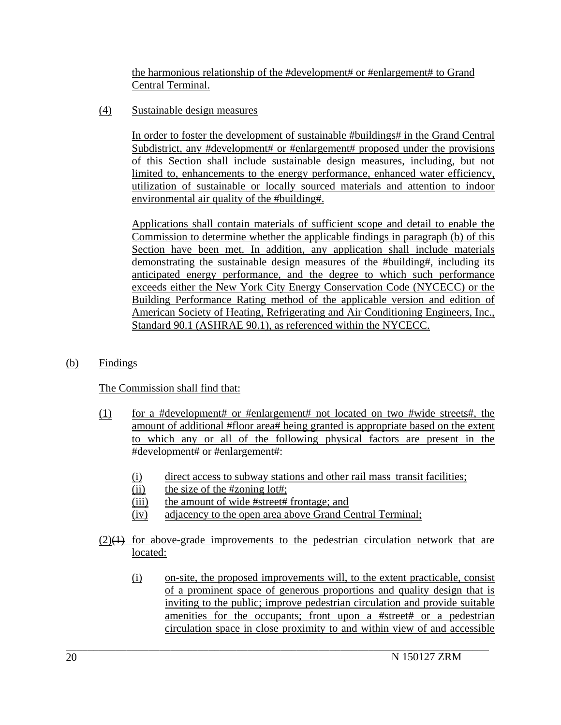the harmonious relationship of the #development# or #enlargement# to Grand Central Terminal.

(4) Sustainable design measures

In order to foster the development of sustainable #buildings# in the Grand Central Subdistrict, any #development# or #enlargement# proposed under the provisions of this Section shall include sustainable design measures, including, but not limited to, enhancements to the energy performance, enhanced water efficiency, utilization of sustainable or locally sourced materials and attention to indoor environmental air quality of the #building#.

Applications shall contain materials of sufficient scope and detail to enable the Commission to determine whether the applicable findings in paragraph (b) of this Section have been met. In addition, any application shall include materials demonstrating the sustainable design measures of the #building#, including its anticipated energy performance, and the degree to which such performance exceeds either the New York City Energy Conservation Code (NYCECC) or the Building Performance Rating method of the applicable version and edition of American Society of Heating, Refrigerating and Air Conditioning Engineers, Inc., Standard 90.1 (ASHRAE 90.1), as referenced within the NYCECC.

(b) Findings

The Commission shall find that:

- (1) for a #development# or #enlargement# not located on two #wide streets#, the amount of additional #floor area# being granted is appropriate based on the extent to which any or all of the following physical factors are present in the #development# or #enlargement#:
	- (i) direct access to subway stations and other rail mass transit facilities;
	- $(ii)$  the size of the #zoning lot#;
	- (iii) the amount of wide #street# frontage; and
	- (iv) adjacency to the open area above Grand Central Terminal;

- $(2)$ ( $\leftrightarrow$  for above-grade improvements to the pedestrian circulation network that are located:
	- (i) on-site, the proposed improvements will, to the extent practicable, consist of a prominent space of generous proportions and quality design that is inviting to the public; improve pedestrian circulation and provide suitable amenities for the occupants; front upon a #street# or a pedestrian circulation space in close proximity to and within view of and accessible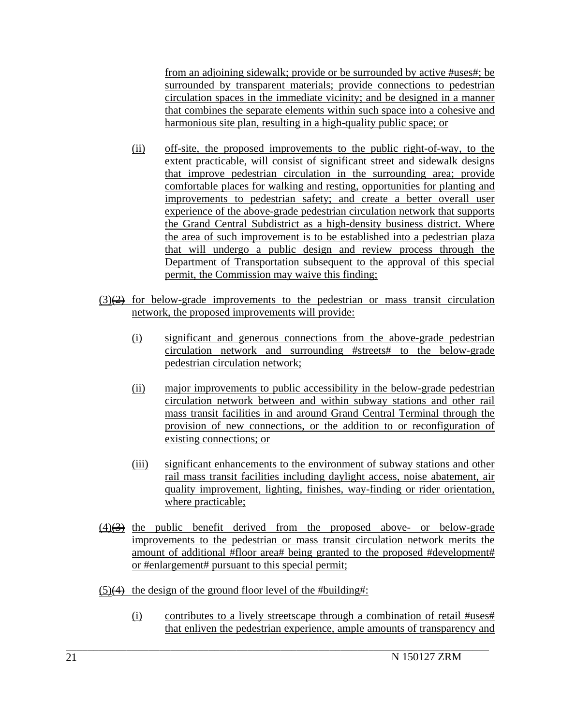from an adjoining sidewalk; provide or be surrounded by active #uses#; be surrounded by transparent materials; provide connections to pedestrian circulation spaces in the immediate vicinity; and be designed in a manner that combines the separate elements within such space into a cohesive and harmonious site plan, resulting in a high-quality public space; or

- (ii) off-site, the proposed improvements to the public right-of-way, to the extent practicable, will consist of significant street and sidewalk designs that improve pedestrian circulation in the surrounding area; provide comfortable places for walking and resting, opportunities for planting and improvements to pedestrian safety; and create a better overall user experience of the above-grade pedestrian circulation network that supports the Grand Central Subdistrict as a high-density business district. Where the area of such improvement is to be established into a pedestrian plaza that will undergo a public design and review process through the Department of Transportation subsequent to the approval of this special permit, the Commission may waive this finding;
- $(3)$ ( $\overrightarrow{2}$ ) for below-grade improvements to the pedestrian or mass transit circulation network, the proposed improvements will provide:
	- (i) significant and generous connections from the above-grade pedestrian circulation network and surrounding #streets# to the below-grade pedestrian circulation network;
	- (ii) major improvements to public accessibility in the below-grade pedestrian circulation network between and within subway stations and other rail mass transit facilities in and around Grand Central Terminal through the provision of new connections, or the addition to or reconfiguration of existing connections; or
	- (iii) significant enhancements to the environment of subway stations and other rail mass transit facilities including daylight access, noise abatement, air quality improvement, lighting, finishes, way-finding or rider orientation, where practicable;
- $\frac{4}{3}$  the public benefit derived from the proposed above- or below-grade improvements to the pedestrian or mass transit circulation network merits the amount of additional #floor area# being granted to the proposed #development# or #enlargement# pursuant to this special permit;

 $\mathcal{L}_\text{max}$ 

 $(5)$ (4) the design of the ground floor level of the #building#:

(i) contributes to a lively streetscape through a combination of retail #uses# that enliven the pedestrian experience, ample amounts of transparency and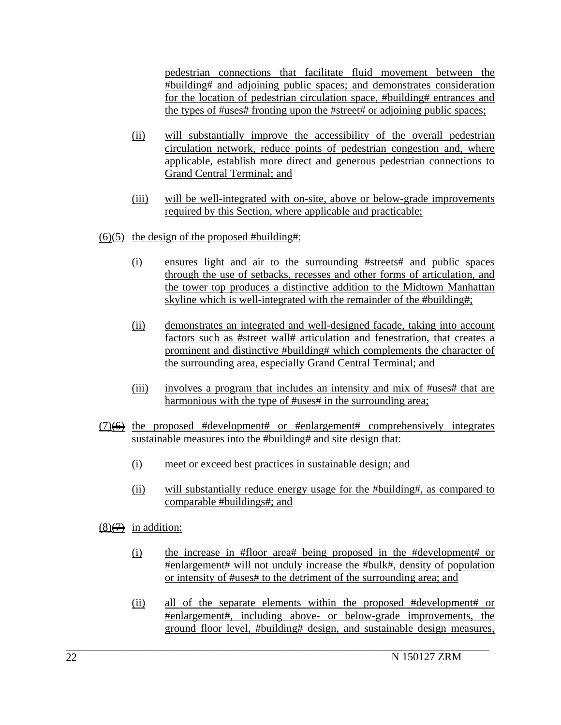pedestrian connections that facilitate fluid movement between the #building# and adjoining public spaces; and demonstrates consideration for the location of pedestrian circulation space, #building# entrances and the types of #uses# fronting upon the #street# or adjoining public spaces;

- (ii) will substantially improve the accessibility of the overall pedestrian circulation network, reduce points of pedestrian congestion and, where applicable, establish more direct and generous pedestrian connections to Grand Central Terminal; and
- (iii) will be well-integrated with on-site, above or below-grade improvements required by this Section, where applicable and practicable;

 $(6)$ (5) the design of the proposed #building#:

- (i) ensures light and air to the surrounding #streets# and public spaces through the use of setbacks, recesses and other forms of articulation, and the tower top produces a distinctive addition to the Midtown Manhattan skyline which is well-integrated with the remainder of the #building#;
- (ii) demonstrates an integrated and well-designed facade, taking into account factors such as #street wall# articulation and fenestration, that creates a prominent and distinctive #building# which complements the character of the surrounding area, especially Grand Central Terminal; and
- (iii) involves a program that includes an intensity and mix of #uses# that are harmonious with the type of #uses# in the surrounding area;
- $(7)$ ( $\leftrightarrow$ ) the proposed #development# or #enlargement# comprehensively integrates sustainable measures into the #building# and site design that:
	- (i) meet or exceed best practices in sustainable design; and
	- (ii) will substantially reduce energy usage for the #building#, as compared to comparable #buildings#; and
- $(8) \rightarrow$  in addition:
	- (i) the increase in #floor area# being proposed in the #development# or #enlargement# will not unduly increase the #bulk#, density of population or intensity of #uses# to the detriment of the surrounding area; and
	- (ii) all of the separate elements within the proposed #development# or #enlargement#, including above- or below-grade improvements, the ground floor level, #building# design, and sustainable design measures,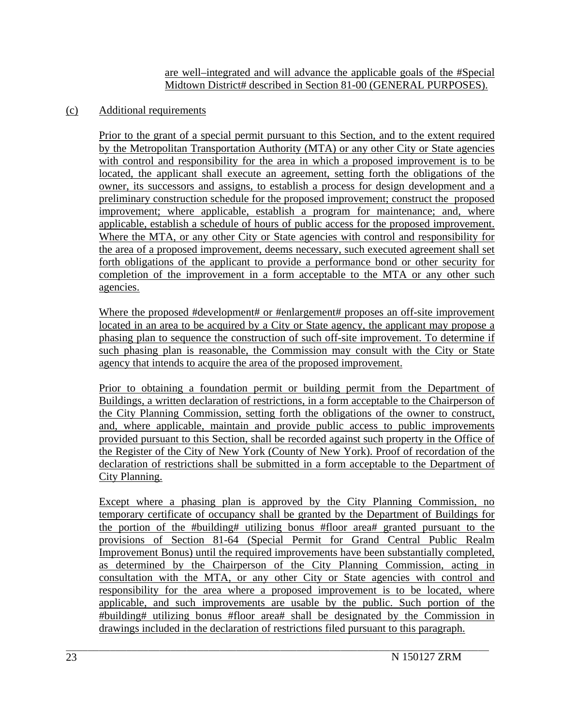are well–integrated and will advance the applicable goals of the #Special Midtown District# described in Section 81-00 (GENERAL PURPOSES).

### (c) Additional requirements

Prior to the grant of a special permit pursuant to this Section, and to the extent required by the Metropolitan Transportation Authority (MTA) or any other City or State agencies with control and responsibility for the area in which a proposed improvement is to be located, the applicant shall execute an agreement, setting forth the obligations of the owner, its successors and assigns, to establish a process for design development and a preliminary construction schedule for the proposed improvement; construct the proposed improvement; where applicable, establish a program for maintenance; and, where applicable, establish a schedule of hours of public access for the proposed improvement. Where the MTA, or any other City or State agencies with control and responsibility for the area of a proposed improvement, deems necessary, such executed agreement shall set forth obligations of the applicant to provide a performance bond or other security for completion of the improvement in a form acceptable to the MTA or any other such agencies.

Where the proposed #development# or #enlargement# proposes an off-site improvement located in an area to be acquired by a City or State agency, the applicant may propose a phasing plan to sequence the construction of such off-site improvement. To determine if such phasing plan is reasonable, the Commission may consult with the City or State agency that intends to acquire the area of the proposed improvement.

Prior to obtaining a foundation permit or building permit from the Department of Buildings, a written declaration of restrictions, in a form acceptable to the Chairperson of the City Planning Commission, setting forth the obligations of the owner to construct, and, where applicable, maintain and provide public access to public improvements provided pursuant to this Section, shall be recorded against such property in the Office of the Register of the City of New York (County of New York). Proof of recordation of the declaration of restrictions shall be submitted in a form acceptable to the Department of City Planning.

Except where a phasing plan is approved by the City Planning Commission, no temporary certificate of occupancy shall be granted by the Department of Buildings for the portion of the #building# utilizing bonus #floor area# granted pursuant to the provisions of Section 81-64 (Special Permit for Grand Central Public Realm Improvement Bonus) until the required improvements have been substantially completed, as determined by the Chairperson of the City Planning Commission, acting in consultation with the MTA, or any other City or State agencies with control and responsibility for the area where a proposed improvement is to be located, where applicable, and such improvements are usable by the public. Such portion of the #building# utilizing bonus #floor area# shall be designated by the Commission in drawings included in the declaration of restrictions filed pursuant to this paragraph.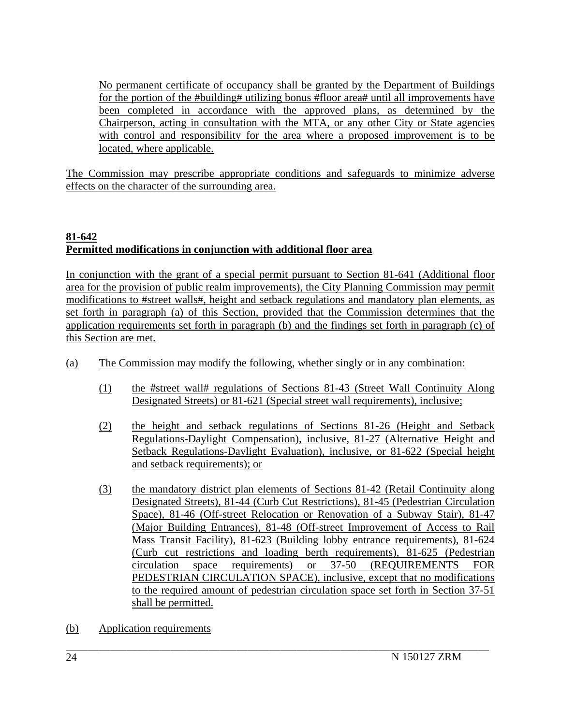No permanent certificate of occupancy shall be granted by the Department of Buildings for the portion of the #building# utilizing bonus #floor area# until all improvements have been completed in accordance with the approved plans, as determined by the Chairperson, acting in consultation with the MTA, or any other City or State agencies with control and responsibility for the area where a proposed improvement is to be located, where applicable.

The Commission may prescribe appropriate conditions and safeguards to minimize adverse effects on the character of the surrounding area.

# **81-642 Permitted modifications in conjunction with additional floor area**

In conjunction with the grant of a special permit pursuant to Section 81-641 (Additional floor area for the provision of public realm improvements), the City Planning Commission may permit modifications to #street walls#, height and setback regulations and mandatory plan elements, as set forth in paragraph (a) of this Section, provided that the Commission determines that the application requirements set forth in paragraph (b) and the findings set forth in paragraph (c) of this Section are met.

- (a) The Commission may modify the following, whether singly or in any combination:
	- (1) the #street wall# regulations of Sections 81-43 (Street Wall Continuity Along Designated Streets) or 81-621 (Special street wall requirements), inclusive;
	- (2) the height and setback regulations of Sections 81-26 (Height and Setback Regulations-Daylight Compensation), inclusive, 81-27 (Alternative Height and Setback Regulations-Daylight Evaluation), inclusive, or 81-622 (Special height and setback requirements); or
	- (3) the mandatory district plan elements of Sections 81-42 (Retail Continuity along Designated Streets), 81-44 (Curb Cut Restrictions), 81-45 (Pedestrian Circulation Space), 81-46 (Off-street Relocation or Renovation of a Subway Stair), 81-47 (Major Building Entrances), 81-48 (Off-street Improvement of Access to Rail Mass Transit Facility), 81-623 (Building lobby entrance requirements), 81-624 (Curb cut restrictions and loading berth requirements), 81-625 (Pedestrian circulation space requirements) or 37-50 (REQUIREMENTS FOR PEDESTRIAN CIRCULATION SPACE), inclusive, except that no modifications to the required amount of pedestrian circulation space set forth in Section 37-51 shall be permitted.
- (b) Application requirements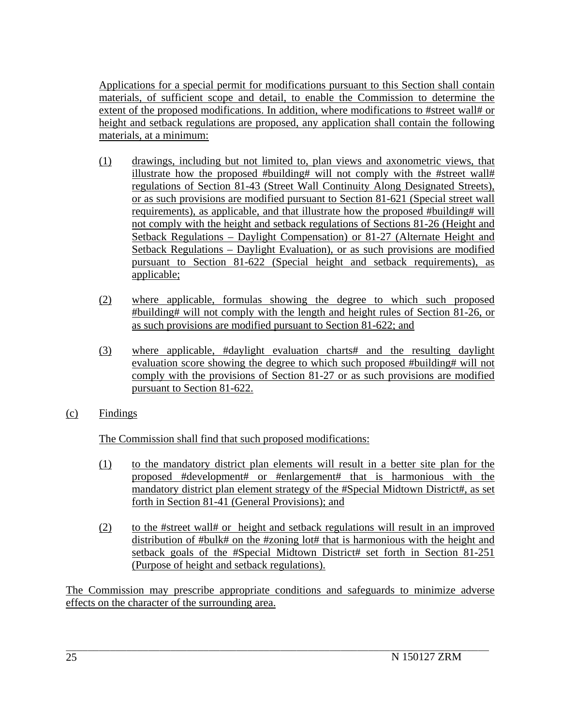Applications for a special permit for modifications pursuant to this Section shall contain materials, of sufficient scope and detail, to enable the Commission to determine the extent of the proposed modifications. In addition, where modifications to #street wall# or height and setback regulations are proposed, any application shall contain the following materials, at a minimum:

- (1) drawings, including but not limited to, plan views and axonometric views, that illustrate how the proposed #building# will not comply with the #street wall# regulations of Section 81-43 (Street Wall Continuity Along Designated Streets), or as such provisions are modified pursuant to Section 81-621 (Special street wall requirements), as applicable, and that illustrate how the proposed #building# will not comply with the height and setback regulations of Sections 81-26 (Height and Setback Regulations – Daylight Compensation) or 81-27 (Alternate Height and Setback Regulations – Daylight Evaluation), or as such provisions are modified pursuant to Section 81-622 (Special height and setback requirements), as applicable;
- (2) where applicable, formulas showing the degree to which such proposed #building# will not comply with the length and height rules of Section 81-26, or as such provisions are modified pursuant to Section 81-622; and
- (3) where applicable, #daylight evaluation charts# and the resulting daylight evaluation score showing the degree to which such proposed #building# will not comply with the provisions of Section 81-27 or as such provisions are modified pursuant to Section 81-622.
- (c) Findings

The Commission shall find that such proposed modifications:

- (1) to the mandatory district plan elements will result in a better site plan for the proposed #development# or #enlargement# that is harmonious with the mandatory district plan element strategy of the #Special Midtown District#, as set forth in Section 81-41 (General Provisions); and
- (2) to the #street wall# or height and setback regulations will result in an improved distribution of #bulk# on the #zoning lot# that is harmonious with the height and setback goals of the #Special Midtown District# set forth in Section 81-251 (Purpose of height and setback regulations).

The Commission may prescribe appropriate conditions and safeguards to minimize adverse effects on the character of the surrounding area.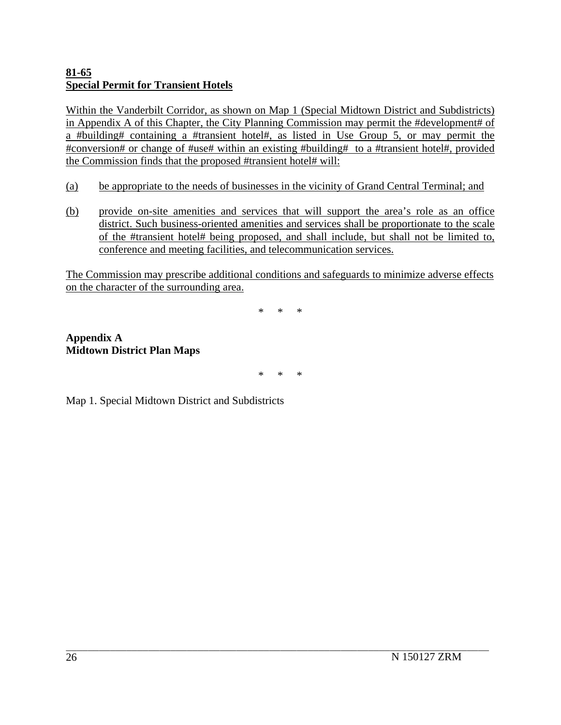## **81-65 Special Permit for Transient Hotels**

Within the Vanderbilt Corridor, as shown on Map 1 (Special Midtown District and Subdistricts) in Appendix A of this Chapter, the City Planning Commission may permit the #development# of a #building# containing a #transient hotel#, as listed in Use Group 5, or may permit the #conversion# or change of #use# within an existing #building# to a #transient hotel#, provided the Commission finds that the proposed #transient hotel# will:

- (a) be appropriate to the needs of businesses in the vicinity of Grand Central Terminal; and
- (b) provide on-site amenities and services that will support the area's role as an office district. Such business-oriented amenities and services shall be proportionate to the scale of the #transient hotel# being proposed, and shall include, but shall not be limited to, conference and meeting facilities, and telecommunication services.

The Commission may prescribe additional conditions and safeguards to minimize adverse effects on the character of the surrounding area.

\* \* \*

## **Appendix A Midtown District Plan Maps**

\* \* \*

 $\mathcal{L}_\text{max}$ 

Map 1. Special Midtown District and Subdistricts